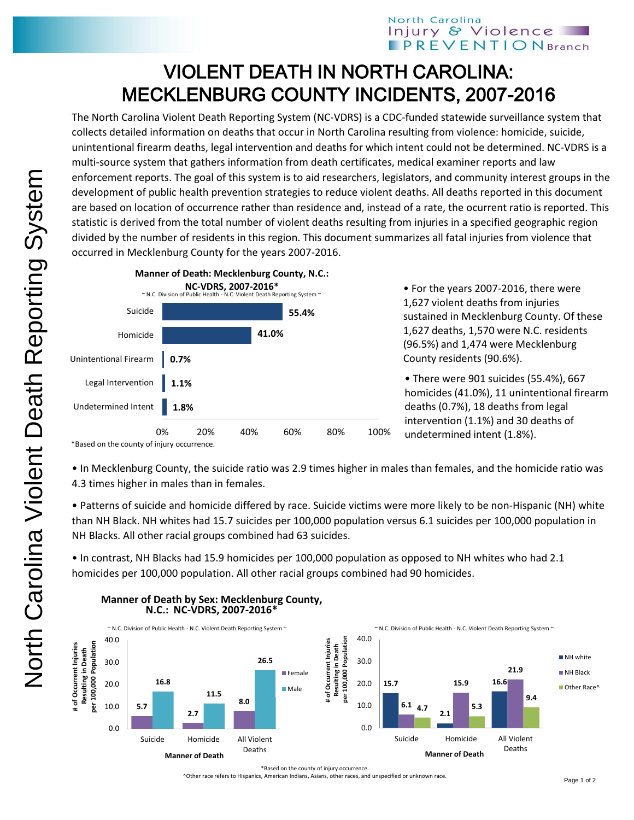## North Carolina Injury & Violence **PREVENTION** Branch

## VIOLENT DEATH IN NORTH CAROLINA: MECKLENBURG COUNTY INCIDENTS, 2007-2016

The North Carolina Violent Death Reporting System (NC-VDRS) is a CDC-funded statewide surveillance system that collects detailed information on deaths that occur in North Carolina resulting from violence: homicide, suicide, unintentional firearm deaths, legal intervention and deaths for which intent could not be determined. NC-VDRS is a multi-source system that gathers information from death certificates, medical examiner reports and law enforcement reports. The goal of this system is to aid researchers, legislators, and community interest groups in the development of public health prevention strategies to reduce violent deaths. All deaths reported in this document are based on location of occurrence rather than residence and, instead of a rate, the ocurrent ratio is reported. This statistic is derived from the total number of violent deaths resulting from injuries in a specified geographic region divided by the number of residents in this region. This document summarizes all fatal injuries from violence that occurred in Mecklenburg County for the years 2007-2016.



• For the years 2007-2016, there were 1,627 violent deaths from injuries sustained in Mecklenburg County. Of these 1,627 deaths, 1,570 were N.C. residents (96.5%) and 1,474 were Mecklenburg County residents (90.6%).

• There were 901 suicides (55.4%), 667 homicides (41.0%), 11 unintentional firearm deaths (0.7%), 18 deaths from legal intervention (1.1%) and 30 deaths of undetermined intent (1.8%).

\*Based on the county of injury occurrence.

• In Mecklenburg County, the suicide ratio was 2.9 times higher in males than females, and the homicide ratio was 4.3 times higher in males than in females.

• Patterns of suicide and homicide differed by race. Suicide victims were more likely to be non-Hispanic (NH) white than NH Black. NH whites had 15.7 suicides per 100,000 population versus 6.1 suicides per 100,000 population in NH Blacks. All other racial groups combined had 63 suicides.

• In contrast, NH Blacks had 15.9 homicides per 100,000 population as opposed to NH whites who had 2.1 homicides per 100,000 population. All other racial groups combined had 90 homicides.



## **Manner of Death by Sex: Mecklenburg County, N.C.: NC-VDRS, 2007-2016\***

^Other race refers to Hispanics, American Indians, Asians, other races, and unspecified or unknown race.

<sup>\*</sup>Based on the county of injury occurrence.